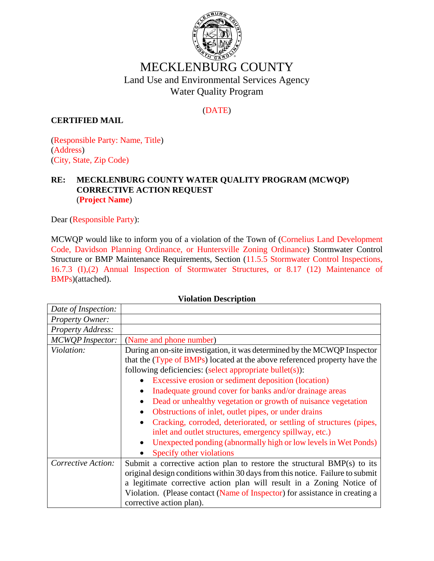

# MECKLENBURG COUNTY Land Use and Environmental Services Agency Water Quality Program

## (DATE)

### **CERTIFIED MAIL**

(Responsible Party: Name, Title) (Address) (City, State, Zip Code)

#### **RE: MECKLENBURG COUNTY WATER QUALITY PROGRAM (MCWQP) CORRECTIVE ACTION REQUEST**  (**Project Name**)

Dear (Responsible Party):

MCWQP would like to inform you of a violation of the Town of (Cornelius Land Development Code, Davidson Planning Ordinance, or Huntersville Zoning Ordinance) Stormwater Control Structure or BMP Maintenance Requirements, Section (11.5.5 Stormwater Control Inspections, 16.7.3 (I),(2) Annual Inspection of Stormwater Structures, or 8.17 (12) Maintenance of BMPs)(attached).

| Date of Inspection:     |                                                                               |
|-------------------------|-------------------------------------------------------------------------------|
| Property Owner:         |                                                                               |
| Property Address:       |                                                                               |
| <b>MCWQP</b> Inspector: | (Name and phone number)                                                       |
| Violation:              | During an on-site investigation, it was determined by the MCWQP Inspector     |
|                         | that the (Type of BMPs) located at the above referenced property have the     |
|                         | following deficiencies: (select appropriate bullet(s)):                       |
|                         | Excessive erosion or sediment deposition (location)                           |
|                         | Inadequate ground cover for banks and/or drainage areas<br>$\bullet$          |
|                         | Dead or unhealthy vegetation or growth of nuisance vegetation                 |
|                         | Obstructions of inlet, outlet pipes, or under drains                          |
|                         | Cracking, corroded, deteriorated, or settling of structures (pipes,           |
|                         | inlet and outlet structures, emergency spillway, etc.)                        |
|                         | Unexpected ponding (abnormally high or low levels in Wet Ponds)               |
|                         | Specify other violations                                                      |
| Corrective Action:      | Submit a corrective action plan to restore the structural BMP(s) to its       |
|                         | original design conditions within 30 days from this notice. Failure to submit |
|                         | a legitimate corrective action plan will result in a Zoning Notice of         |
|                         | Violation. (Please contact (Name of Inspector) for assistance in creating a   |
|                         | corrective action plan).                                                      |

#### **Violation Description**